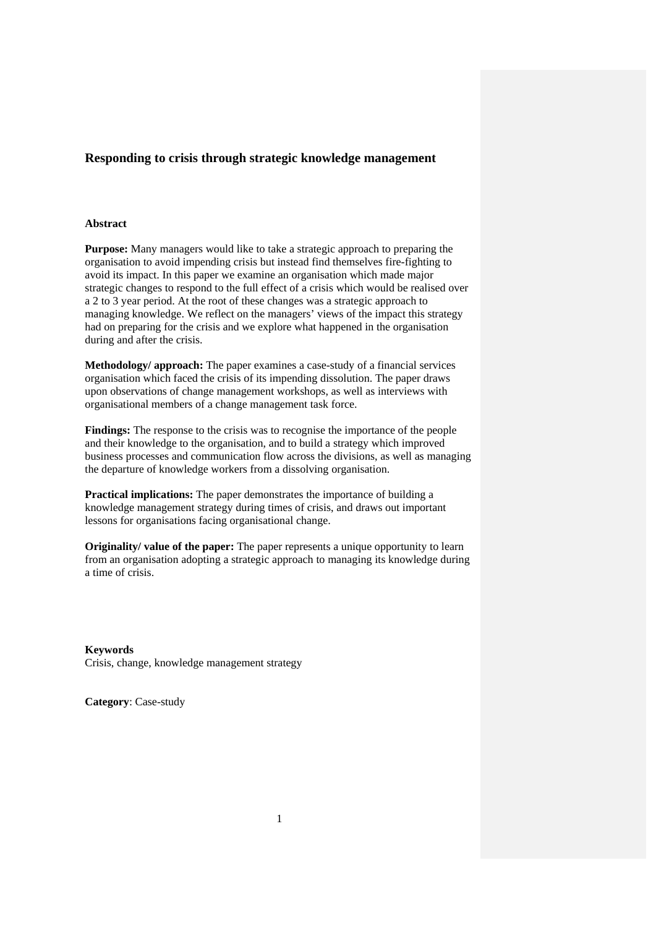# **Responding to crisis through strategic knowledge management**

# **Abstract**

**Purpose:** Many managers would like to take a strategic approach to preparing the organisation to avoid impending crisis but instead find themselves fire-fighting to avoid its impact. In this paper we examine an organisation which made major strategic changes to respond to the full effect of a crisis which would be realised over a 2 to 3 year period. At the root of these changes was a strategic approach to managing knowledge. We reflect on the managers' views of the impact this strategy had on preparing for the crisis and we explore what happened in the organisation during and after the crisis.

**Methodology/ approach:** The paper examines a case-study of a financial services organisation which faced the crisis of its impending dissolution. The paper draws upon observations of change management workshops, as well as interviews with organisational members of a change management task force.

**Findings:** The response to the crisis was to recognise the importance of the people and their knowledge to the organisation, and to build a strategy which improved business processes and communication flow across the divisions, as well as managing the departure of knowledge workers from a dissolving organisation.

**Practical implications:** The paper demonstrates the importance of building a knowledge management strategy during times of crisis, and draws out important lessons for organisations facing organisational change.

**Originality/ value of the paper:** The paper represents a unique opportunity to learn from an organisation adopting a strategic approach to managing its knowledge during a time of crisis.

**Keywords**  Crisis, change, knowledge management strategy

**Category**: Case-study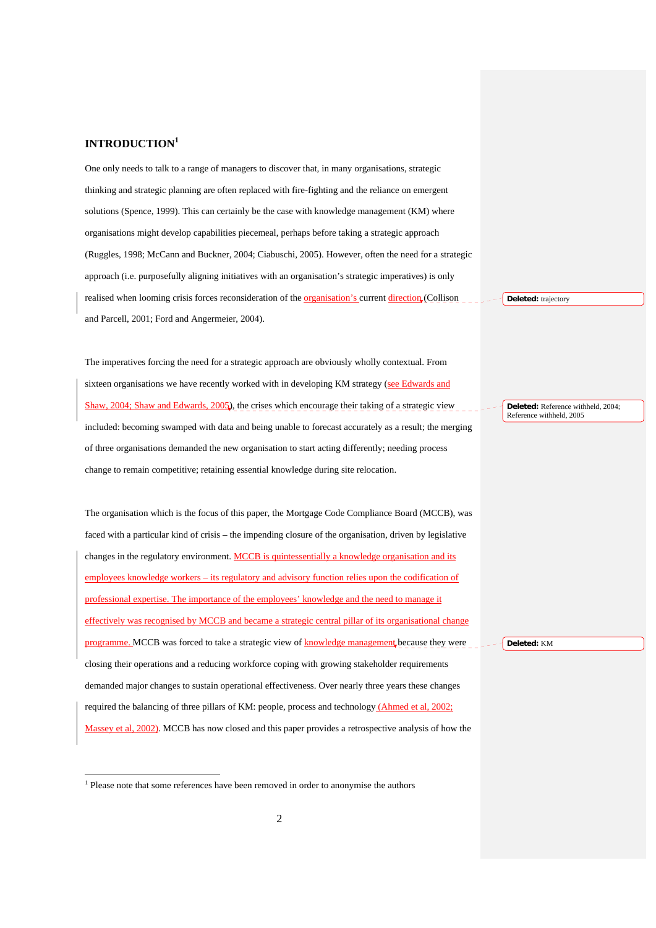# **INTRODUCTION<sup>1</sup>**

One only needs to talk to a range of managers to discover that, in many organisations, strategic thinking and strategic planning are often replaced with fire-fighting and the reliance on emergent solutions (Spence, 1999). This can certainly be the case with knowledge management (KM) where organisations might develop capabilities piecemeal, perhaps before taking a strategic approach (Ruggles, 1998; McCann and Buckner, 2004; Ciabuschi, 2005). However, often the need for a strategic approach (i.e. purposefully aligning initiatives with an organisation's strategic imperatives) is only realised when looming crisis forces reconsideration of the <u>organisation's</u> current direction (Collison and Parcell, 2001; Ford and Angermeier, 2004).

The imperatives forcing the need for a strategic approach are obviously wholly contextual. From sixteen organisations we have recently worked with in developing KM strategy (see Edwards and Shaw, 2004; Shaw and Edwards, 2005), the crises which encourage their taking of a strategic view included: becoming swamped with data and being unable to forecast accurately as a result; the merging of three organisations demanded the new organisation to start acting differently; needing process change to remain competitive; retaining essential knowledge during site relocation.

The organisation which is the focus of this paper, the Mortgage Code Compliance Board (MCCB), was faced with a particular kind of crisis – the impending closure of the organisation, driven by legislative changes in the regulatory environment. MCCB is quintessentially a knowledge organisation and its employees knowledge workers – its regulatory and advisory function relies upon the codification of professional expertise. The importance of the employees' knowledge and the need to manage it effectively was recognised by MCCB and became a strategic central pillar of its organisational change programme. MCCB was forced to take a strategic view of knowledge management because they were closing their operations and a reducing workforce coping with growing stakeholder requirements demanded major changes to sustain operational effectiveness. Over nearly three years these changes required the balancing of three pillars of KM: people, process and technology (Ahmed et al, 2002; Massey et al, 2002). MCCB has now closed and this paper provides a retrospective analysis of how the **Deleted:** trajectory

**Deleted:** Reference withheld, 2004; Reference withheld, 2005

**Deleted:** KM

 1 Please note that some references have been removed in order to anonymise the authors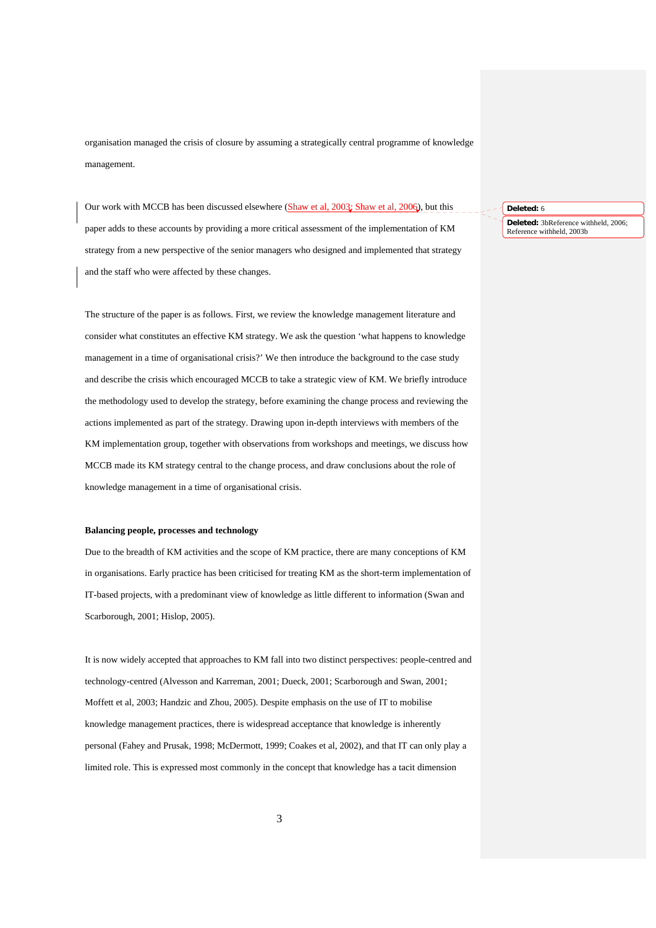organisation managed the crisis of closure by assuming a strategically central programme of knowledge management.

Our work with MCCB has been discussed elsewhere (Shaw et al, 2003; Shaw et al, 2006), but this paper adds to these accounts by providing a more critical assessment of the implementation of KM strategy from a new perspective of the senior managers who designed and implemented that strategy and the staff who were affected by these changes.

The structure of the paper is as follows. First, we review the knowledge management literature and consider what constitutes an effective KM strategy. We ask the question 'what happens to knowledge management in a time of organisational crisis?' We then introduce the background to the case study and describe the crisis which encouraged MCCB to take a strategic view of KM. We briefly introduce the methodology used to develop the strategy, before examining the change process and reviewing the actions implemented as part of the strategy. Drawing upon in-depth interviews with members of the KM implementation group, together with observations from workshops and meetings, we discuss how MCCB made its KM strategy central to the change process, and draw conclusions about the role of knowledge management in a time of organisational crisis.

#### **Balancing people, processes and technology**

Due to the breadth of KM activities and the scope of KM practice, there are many conceptions of KM in organisations. Early practice has been criticised for treating KM as the short-term implementation of IT-based projects, with a predominant view of knowledge as little different to information (Swan and Scarborough, 2001; Hislop, 2005).

It is now widely accepted that approaches to KM fall into two distinct perspectives: people-centred and technology-centred (Alvesson and Karreman, 2001; Dueck, 2001; Scarborough and Swan, 2001; Moffett et al, 2003; Handzic and Zhou, 2005). Despite emphasis on the use of IT to mobilise knowledge management practices, there is widespread acceptance that knowledge is inherently personal (Fahey and Prusak, 1998; McDermott, 1999; Coakes et al, 2002), and that IT can only play a limited role. This is expressed most commonly in the concept that knowledge has a tacit dimension

**Deleted:** 6

**Deleted:** 3bReference withheld, 2006; Reference withheld, 2003b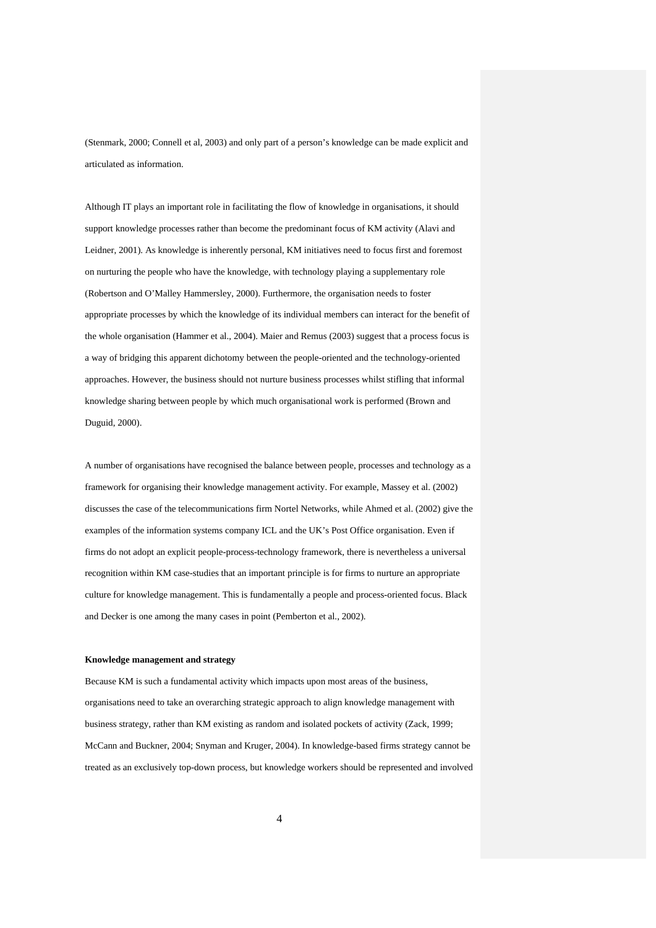(Stenmark, 2000; Connell et al, 2003) and only part of a person's knowledge can be made explicit and articulated as information.

Although IT plays an important role in facilitating the flow of knowledge in organisations, it should support knowledge processes rather than become the predominant focus of KM activity (Alavi and Leidner, 2001). As knowledge is inherently personal, KM initiatives need to focus first and foremost on nurturing the people who have the knowledge, with technology playing a supplementary role (Robertson and O'Malley Hammersley, 2000). Furthermore, the organisation needs to foster appropriate processes by which the knowledge of its individual members can interact for the benefit of the whole organisation (Hammer et al., 2004). Maier and Remus (2003) suggest that a process focus is a way of bridging this apparent dichotomy between the people-oriented and the technology-oriented approaches. However, the business should not nurture business processes whilst stifling that informal knowledge sharing between people by which much organisational work is performed (Brown and Duguid, 2000).

A number of organisations have recognised the balance between people, processes and technology as a framework for organising their knowledge management activity. For example, Massey et al. (2002) discusses the case of the telecommunications firm Nortel Networks, while Ahmed et al. (2002) give the examples of the information systems company ICL and the UK's Post Office organisation. Even if firms do not adopt an explicit people-process-technology framework, there is nevertheless a universal recognition within KM case-studies that an important principle is for firms to nurture an appropriate culture for knowledge management. This is fundamentally a people and process-oriented focus. Black and Decker is one among the many cases in point (Pemberton et al., 2002).

### **Knowledge management and strategy**

Because KM is such a fundamental activity which impacts upon most areas of the business, organisations need to take an overarching strategic approach to align knowledge management with business strategy, rather than KM existing as random and isolated pockets of activity (Zack, 1999; McCann and Buckner, 2004; Snyman and Kruger, 2004). In knowledge-based firms strategy cannot be treated as an exclusively top-down process, but knowledge workers should be represented and involved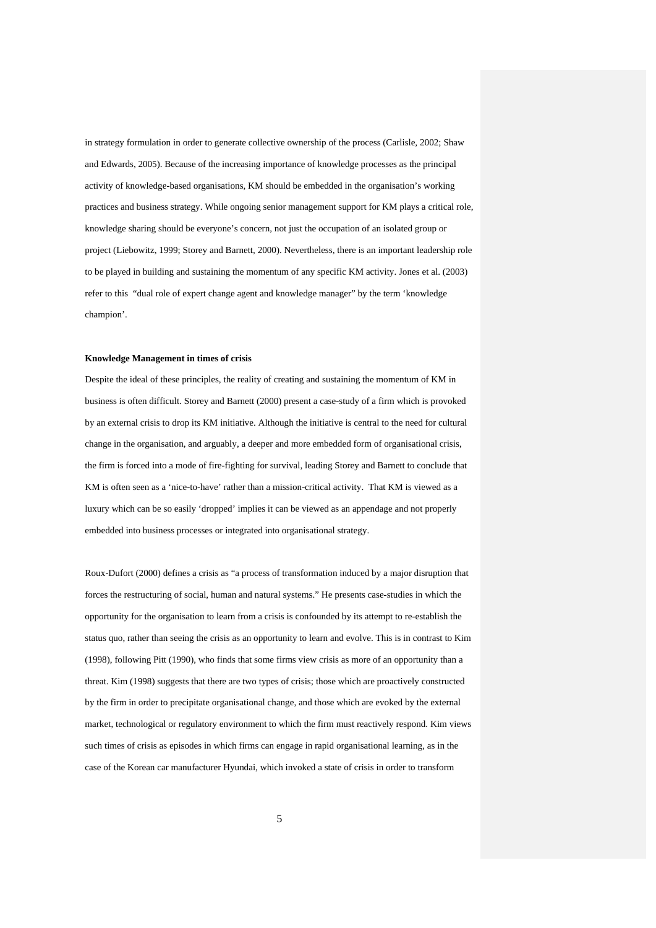in strategy formulation in order to generate collective ownership of the process (Carlisle, 2002; Shaw and Edwards, 2005). Because of the increasing importance of knowledge processes as the principal activity of knowledge-based organisations, KM should be embedded in the organisation's working practices and business strategy. While ongoing senior management support for KM plays a critical role, knowledge sharing should be everyone's concern, not just the occupation of an isolated group or project (Liebowitz, 1999; Storey and Barnett, 2000). Nevertheless, there is an important leadership role to be played in building and sustaining the momentum of any specific KM activity. Jones et al. (2003) refer to this "dual role of expert change agent and knowledge manager" by the term 'knowledge champion'.

#### **Knowledge Management in times of crisis**

Despite the ideal of these principles, the reality of creating and sustaining the momentum of KM in business is often difficult. Storey and Barnett (2000) present a case-study of a firm which is provoked by an external crisis to drop its KM initiative. Although the initiative is central to the need for cultural change in the organisation, and arguably, a deeper and more embedded form of organisational crisis, the firm is forced into a mode of fire-fighting for survival, leading Storey and Barnett to conclude that KM is often seen as a 'nice-to-have' rather than a mission-critical activity. That KM is viewed as a luxury which can be so easily 'dropped' implies it can be viewed as an appendage and not properly embedded into business processes or integrated into organisational strategy.

Roux-Dufort (2000) defines a crisis as "a process of transformation induced by a major disruption that forces the restructuring of social, human and natural systems." He presents case-studies in which the opportunity for the organisation to learn from a crisis is confounded by its attempt to re-establish the status quo, rather than seeing the crisis as an opportunity to learn and evolve. This is in contrast to Kim (1998), following Pitt (1990), who finds that some firms view crisis as more of an opportunity than a threat. Kim (1998) suggests that there are two types of crisis; those which are proactively constructed by the firm in order to precipitate organisational change, and those which are evoked by the external market, technological or regulatory environment to which the firm must reactively respond. Kim views such times of crisis as episodes in which firms can engage in rapid organisational learning, as in the case of the Korean car manufacturer Hyundai, which invoked a state of crisis in order to transform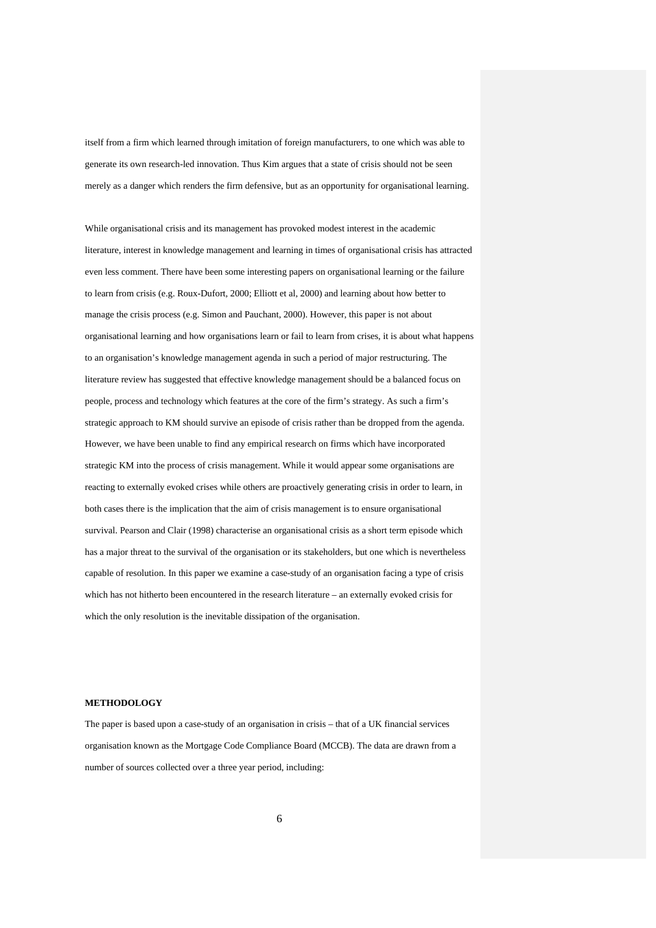itself from a firm which learned through imitation of foreign manufacturers, to one which was able to generate its own research-led innovation. Thus Kim argues that a state of crisis should not be seen merely as a danger which renders the firm defensive, but as an opportunity for organisational learning.

While organisational crisis and its management has provoked modest interest in the academic literature, interest in knowledge management and learning in times of organisational crisis has attracted even less comment. There have been some interesting papers on organisational learning or the failure to learn from crisis (e.g. Roux-Dufort, 2000; Elliott et al, 2000) and learning about how better to manage the crisis process (e.g. Simon and Pauchant, 2000). However, this paper is not about organisational learning and how organisations learn or fail to learn from crises, it is about what happens to an organisation's knowledge management agenda in such a period of major restructuring. The literature review has suggested that effective knowledge management should be a balanced focus on people, process and technology which features at the core of the firm's strategy. As such a firm's strategic approach to KM should survive an episode of crisis rather than be dropped from the agenda. However, we have been unable to find any empirical research on firms which have incorporated strategic KM into the process of crisis management. While it would appear some organisations are reacting to externally evoked crises while others are proactively generating crisis in order to learn, in both cases there is the implication that the aim of crisis management is to ensure organisational survival. Pearson and Clair (1998) characterise an organisational crisis as a short term episode which has a major threat to the survival of the organisation or its stakeholders, but one which is nevertheless capable of resolution. In this paper we examine a case-study of an organisation facing a type of crisis which has not hitherto been encountered in the research literature – an externally evoked crisis for which the only resolution is the inevitable dissipation of the organisation.

### **METHODOLOGY**

The paper is based upon a case-study of an organisation in crisis – that of a UK financial services organisation known as the Mortgage Code Compliance Board (MCCB). The data are drawn from a number of sources collected over a three year period, including: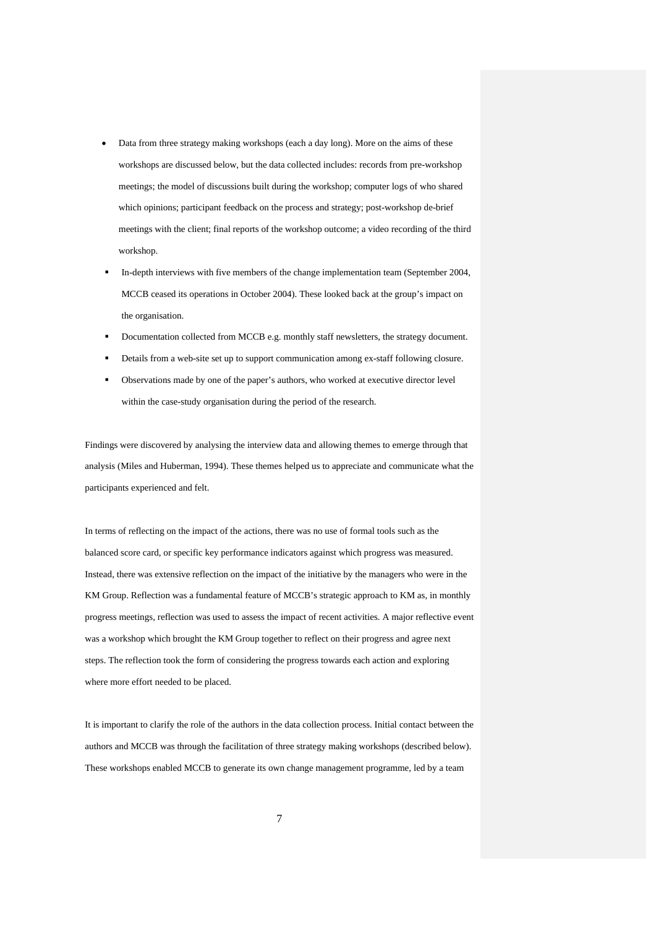- Data from three strategy making workshops (each a day long). More on the aims of these workshops are discussed below, but the data collected includes: records from pre-workshop meetings; the model of discussions built during the workshop; computer logs of who shared which opinions; participant feedback on the process and strategy; post-workshop de-brief meetings with the client; final reports of the workshop outcome; a video recording of the third workshop.
- In-depth interviews with five members of the change implementation team (September 2004, MCCB ceased its operations in October 2004). These looked back at the group's impact on the organisation.
- Documentation collected from MCCB e.g. monthly staff newsletters, the strategy document.
- Details from a web-site set up to support communication among ex-staff following closure.
- Observations made by one of the paper's authors, who worked at executive director level within the case-study organisation during the period of the research.

Findings were discovered by analysing the interview data and allowing themes to emerge through that analysis (Miles and Huberman, 1994). These themes helped us to appreciate and communicate what the participants experienced and felt.

In terms of reflecting on the impact of the actions, there was no use of formal tools such as the balanced score card, or specific key performance indicators against which progress was measured. Instead, there was extensive reflection on the impact of the initiative by the managers who were in the KM Group. Reflection was a fundamental feature of MCCB's strategic approach to KM as, in monthly progress meetings, reflection was used to assess the impact of recent activities. A major reflective event was a workshop which brought the KM Group together to reflect on their progress and agree next steps. The reflection took the form of considering the progress towards each action and exploring where more effort needed to be placed.

It is important to clarify the role of the authors in the data collection process. Initial contact between the authors and MCCB was through the facilitation of three strategy making workshops (described below). These workshops enabled MCCB to generate its own change management programme, led by a team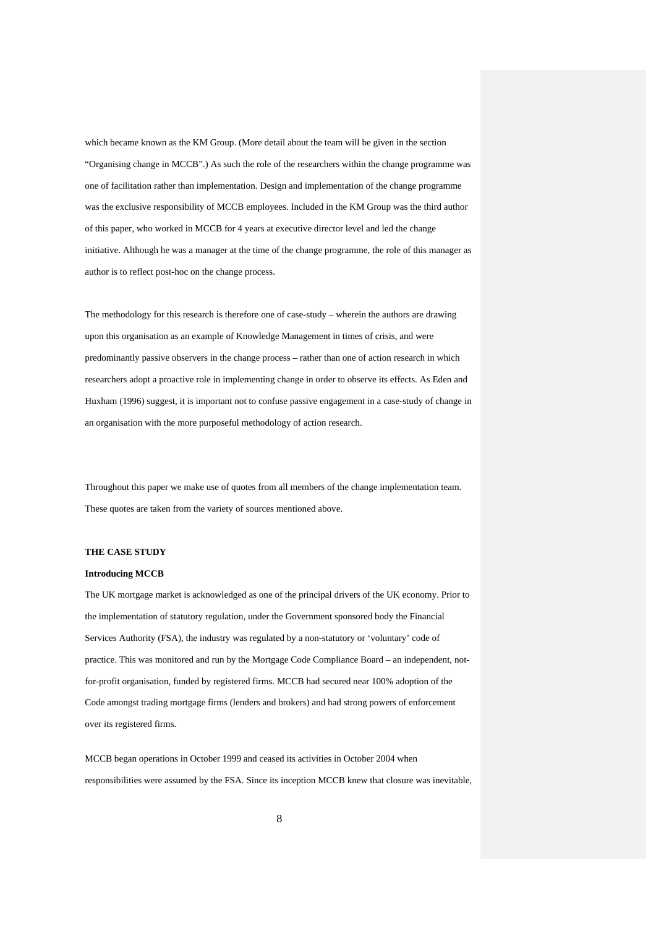which became known as the KM Group. (More detail about the team will be given in the section "Organising change in MCCB".) As such the role of the researchers within the change programme was one of facilitation rather than implementation. Design and implementation of the change programme was the exclusive responsibility of MCCB employees. Included in the KM Group was the third author of this paper, who worked in MCCB for 4 years at executive director level and led the change initiative. Although he was a manager at the time of the change programme, the role of this manager as author is to reflect post-hoc on the change process.

The methodology for this research is therefore one of case-study – wherein the authors are drawing upon this organisation as an example of Knowledge Management in times of crisis, and were predominantly passive observers in the change process – rather than one of action research in which researchers adopt a proactive role in implementing change in order to observe its effects. As Eden and Huxham (1996) suggest, it is important not to confuse passive engagement in a case-study of change in an organisation with the more purposeful methodology of action research.

Throughout this paper we make use of quotes from all members of the change implementation team. These quotes are taken from the variety of sources mentioned above.

# **THE CASE STUDY**

# **Introducing MCCB**

The UK mortgage market is acknowledged as one of the principal drivers of the UK economy. Prior to the implementation of statutory regulation, under the Government sponsored body the Financial Services Authority (FSA), the industry was regulated by a non-statutory or 'voluntary' code of practice. This was monitored and run by the Mortgage Code Compliance Board – an independent, notfor-profit organisation, funded by registered firms. MCCB had secured near 100% adoption of the Code amongst trading mortgage firms (lenders and brokers) and had strong powers of enforcement over its registered firms.

MCCB began operations in October 1999 and ceased its activities in October 2004 when responsibilities were assumed by the FSA. Since its inception MCCB knew that closure was inevitable,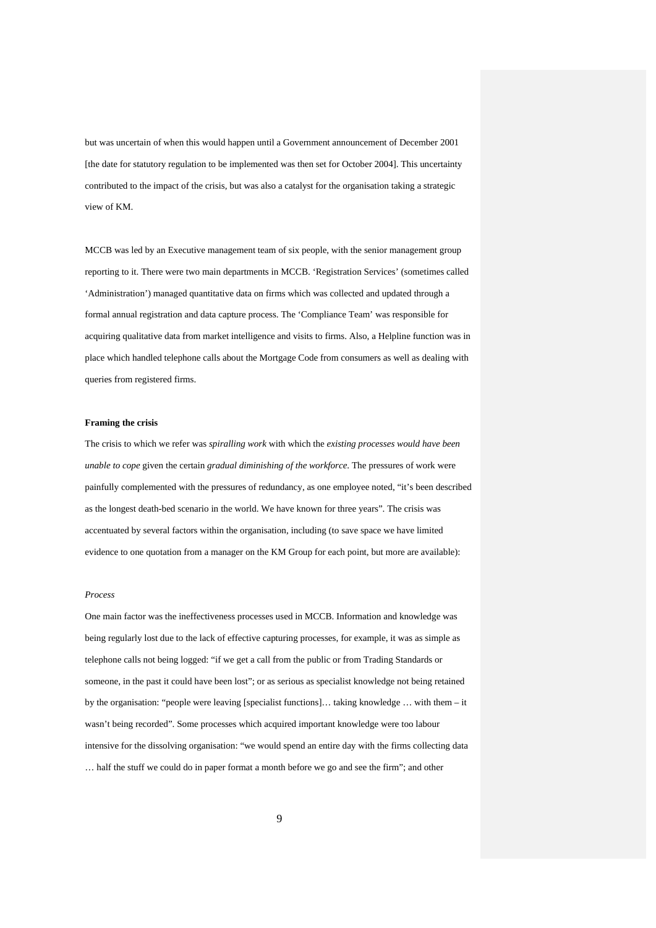but was uncertain of when this would happen until a Government announcement of December 2001 [the date for statutory regulation to be implemented was then set for October 2004]. This uncertainty contributed to the impact of the crisis, but was also a catalyst for the organisation taking a strategic view of KM.

MCCB was led by an Executive management team of six people, with the senior management group reporting to it. There were two main departments in MCCB. 'Registration Services' (sometimes called 'Administration') managed quantitative data on firms which was collected and updated through a formal annual registration and data capture process. The 'Compliance Team' was responsible for acquiring qualitative data from market intelligence and visits to firms. Also, a Helpline function was in place which handled telephone calls about the Mortgage Code from consumers as well as dealing with queries from registered firms.

#### **Framing the crisis**

The crisis to which we refer was *spiralling work* with which the *existing processes would have been unable to cope* given the certain *gradual diminishing of the workforce*. The pressures of work were painfully complemented with the pressures of redundancy, as one employee noted, "it's been described as the longest death-bed scenario in the world. We have known for three years". The crisis was accentuated by several factors within the organisation, including (to save space we have limited evidence to one quotation from a manager on the KM Group for each point, but more are available):

### *Process*

One main factor was the ineffectiveness processes used in MCCB. Information and knowledge was being regularly lost due to the lack of effective capturing processes, for example, it was as simple as telephone calls not being logged: "if we get a call from the public or from Trading Standards or someone, in the past it could have been lost"; or as serious as specialist knowledge not being retained by the organisation: "people were leaving [specialist functions]… taking knowledge … with them – it wasn't being recorded". Some processes which acquired important knowledge were too labour intensive for the dissolving organisation: "we would spend an entire day with the firms collecting data … half the stuff we could do in paper format a month before we go and see the firm"; and other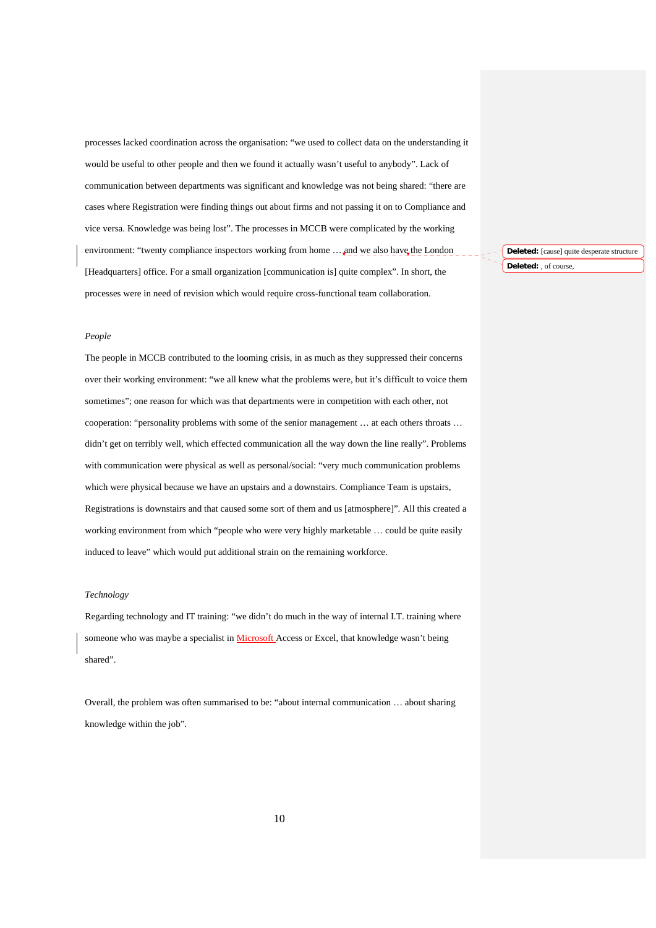processes lacked coordination across the organisation: "we used to collect data on the understanding it would be useful to other people and then we found it actually wasn't useful to anybody". Lack of communication between departments was significant and knowledge was not being shared: "there are cases where Registration were finding things out about firms and not passing it on to Compliance and vice versa. Knowledge was being lost". The processes in MCCB were complicated by the working environment: "twenty compliance inspectors working from home ... and we also have the London [Headquarters] office. For a small organization [communication is] quite complex". In short, the processes were in need of revision which would require cross-functional team collaboration.

**Deleted:** [cause] quite desperate structure **Deleted:** , of course,

#### *People*

The people in MCCB contributed to the looming crisis, in as much as they suppressed their concerns over their working environment: "we all knew what the problems were, but it's difficult to voice them sometimes"; one reason for which was that departments were in competition with each other, not cooperation: "personality problems with some of the senior management … at each others throats … didn't get on terribly well, which effected communication all the way down the line really". Problems with communication were physical as well as personal/social: "very much communication problems which were physical because we have an upstairs and a downstairs. Compliance Team is upstairs, Registrations is downstairs and that caused some sort of them and us [atmosphere]". All this created a working environment from which "people who were very highly marketable … could be quite easily induced to leave" which would put additional strain on the remaining workforce.

### *Technology*

Regarding technology and IT training: "we didn't do much in the way of internal I.T. training where someone who was maybe a specialist in Microsoft Access or Excel, that knowledge wasn't being shared".

Overall, the problem was often summarised to be: "about internal communication … about sharing knowledge within the job".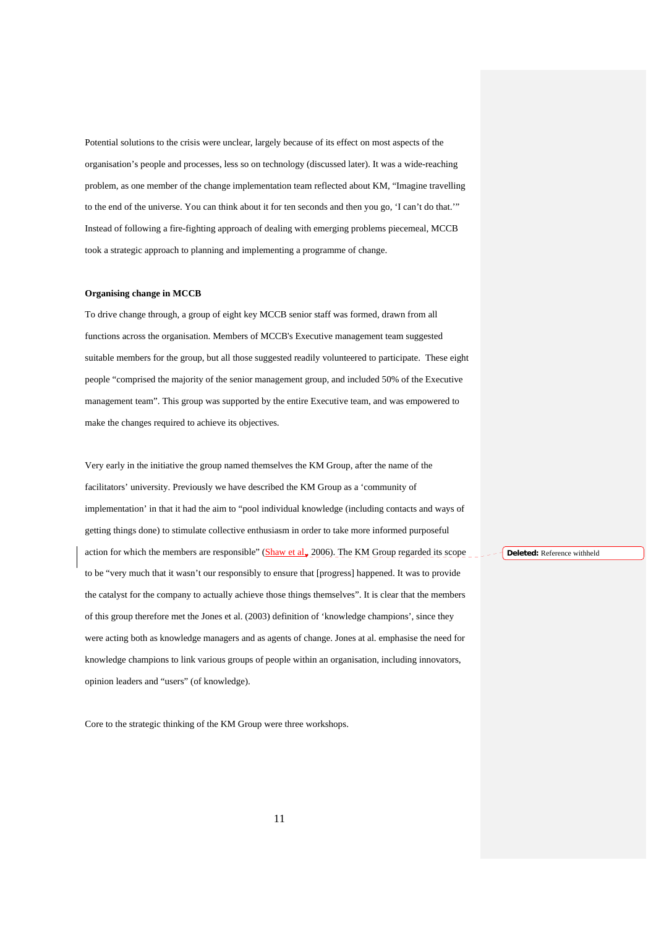Potential solutions to the crisis were unclear, largely because of its effect on most aspects of the organisation's people and processes, less so on technology (discussed later). It was a wide-reaching problem, as one member of the change implementation team reflected about KM, "Imagine travelling to the end of the universe. You can think about it for ten seconds and then you go, 'I can't do that.'" Instead of following a fire-fighting approach of dealing with emerging problems piecemeal, MCCB took a strategic approach to planning and implementing a programme of change.

#### **Organising change in MCCB**

To drive change through, a group of eight key MCCB senior staff was formed, drawn from all functions across the organisation. Members of MCCB's Executive management team suggested suitable members for the group, but all those suggested readily volunteered to participate. These eight people "comprised the majority of the senior management group, and included 50% of the Executive management team". This group was supported by the entire Executive team, and was empowered to make the changes required to achieve its objectives.

Very early in the initiative the group named themselves the KM Group, after the name of the facilitators' university. Previously we have described the KM Group as a 'community of implementation' in that it had the aim to "pool individual knowledge (including contacts and ways of getting things done) to stimulate collective enthusiasm in order to take more informed purposeful action for which the members are responsible" ( $\frac{\text{Shaw et al}}{\text{Al}}$ , 2006). The KM Group regarded its scope to be "very much that it wasn't our responsibly to ensure that [progress] happened. It was to provide the catalyst for the company to actually achieve those things themselves". It is clear that the members of this group therefore met the Jones et al. (2003) definition of 'knowledge champions', since they were acting both as knowledge managers and as agents of change. Jones at al. emphasise the need for knowledge champions to link various groups of people within an organisation, including innovators, opinion leaders and "users" (of knowledge).

Core to the strategic thinking of the KM Group were three workshops.

**Deleted:** Reference withheld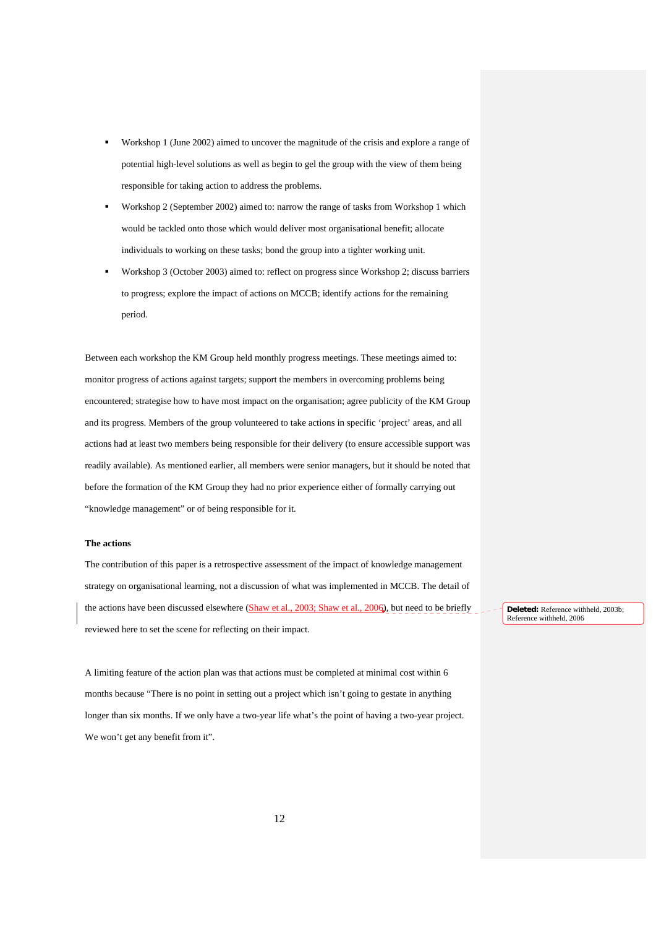- Workshop 1 (June 2002) aimed to uncover the magnitude of the crisis and explore a range of potential high-level solutions as well as begin to gel the group with the view of them being responsible for taking action to address the problems.
- Workshop 2 (September 2002) aimed to: narrow the range of tasks from Workshop 1 which would be tackled onto those which would deliver most organisational benefit; allocate individuals to working on these tasks; bond the group into a tighter working unit.
- Workshop 3 (October 2003) aimed to: reflect on progress since Workshop 2; discuss barriers to progress; explore the impact of actions on MCCB; identify actions for the remaining period.

Between each workshop the KM Group held monthly progress meetings. These meetings aimed to: monitor progress of actions against targets; support the members in overcoming problems being encountered; strategise how to have most impact on the organisation; agree publicity of the KM Group and its progress. Members of the group volunteered to take actions in specific 'project' areas, and all actions had at least two members being responsible for their delivery (to ensure accessible support was readily available). As mentioned earlier, all members were senior managers, but it should be noted that before the formation of the KM Group they had no prior experience either of formally carrying out "knowledge management" or of being responsible for it.

# **The actions**

The contribution of this paper is a retrospective assessment of the impact of knowledge management strategy on organisational learning, not a discussion of what was implemented in MCCB. The detail of the actions have been discussed elsewhere (Shaw et al., 2003; Shaw et al., 2006), but need to be briefly reviewed here to set the scene for reflecting on their impact.

A limiting feature of the action plan was that actions must be completed at minimal cost within 6 months because "There is no point in setting out a project which isn't going to gestate in anything longer than six months. If we only have a two-year life what's the point of having a two-year project. We won't get any benefit from it".

**Deleted:** Reference withheld, 2003b; Reference withheld, 2006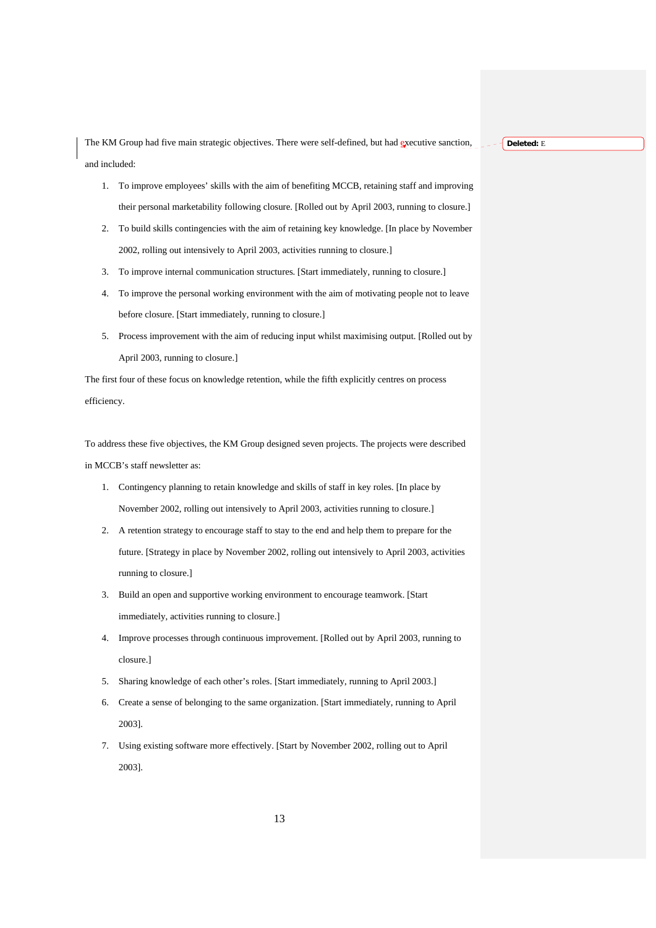The KM Group had five main strategic objectives. There were self-defined, but had executive sanction, and included:

**Deleted:** E

- 1. To improve employees' skills with the aim of benefiting MCCB, retaining staff and improving their personal marketability following closure. [Rolled out by April 2003, running to closure.]
- 2. To build skills contingencies with the aim of retaining key knowledge. [In place by November 2002, rolling out intensively to April 2003, activities running to closure.]
- 3. To improve internal communication structures. [Start immediately, running to closure.]
- 4. To improve the personal working environment with the aim of motivating people not to leave before closure. [Start immediately, running to closure.]
- 5. Process improvement with the aim of reducing input whilst maximising output. [Rolled out by April 2003, running to closure.]

The first four of these focus on knowledge retention, while the fifth explicitly centres on process efficiency.

To address these five objectives, the KM Group designed seven projects. The projects were described in MCCB's staff newsletter as:

- 1. Contingency planning to retain knowledge and skills of staff in key roles. [In place by November 2002, rolling out intensively to April 2003, activities running to closure.]
- 2. A retention strategy to encourage staff to stay to the end and help them to prepare for the future. [Strategy in place by November 2002, rolling out intensively to April 2003, activities running to closure.]
- 3. Build an open and supportive working environment to encourage teamwork. [Start immediately, activities running to closure.]
- 4. Improve processes through continuous improvement. [Rolled out by April 2003, running to closure.]
- 5. Sharing knowledge of each other's roles. [Start immediately, running to April 2003.]
- 6. Create a sense of belonging to the same organization. [Start immediately, running to April 2003].
- 7. Using existing software more effectively. [Start by November 2002, rolling out to April 2003].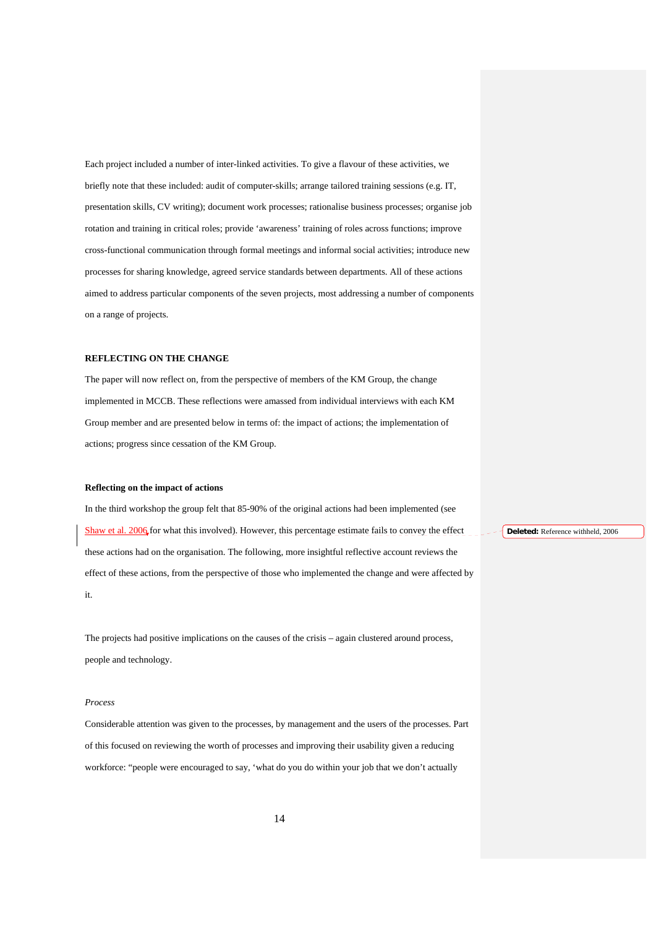Each project included a number of inter-linked activities. To give a flavour of these activities, we briefly note that these included: audit of computer-skills; arrange tailored training sessions (e.g. IT, presentation skills, CV writing); document work processes; rationalise business processes; organise job rotation and training in critical roles; provide 'awareness' training of roles across functions; improve cross-functional communication through formal meetings and informal social activities; introduce new processes for sharing knowledge, agreed service standards between departments. All of these actions aimed to address particular components of the seven projects, most addressing a number of components on a range of projects.

# **REFLECTING ON THE CHANGE**

The paper will now reflect on, from the perspective of members of the KM Group, the change implemented in MCCB. These reflections were amassed from individual interviews with each KM Group member and are presented below in terms of: the impact of actions; the implementation of actions; progress since cessation of the KM Group.

#### **Reflecting on the impact of actions**

In the third workshop the group felt that 85-90% of the original actions had been implemented (see Shaw et al. 2006 for what this involved). However, this percentage estimate fails to convey the effect these actions had on the organisation. The following, more insightful reflective account reviews the effect of these actions, from the perspective of those who implemented the change and were affected by it.

The projects had positive implications on the causes of the crisis – again clustered around process, people and technology.

#### *Process*

Considerable attention was given to the processes, by management and the users of the processes. Part of this focused on reviewing the worth of processes and improving their usability given a reducing workforce: "people were encouraged to say, 'what do you do within your job that we don't actually

**Deleted:** Reference withheld, 2006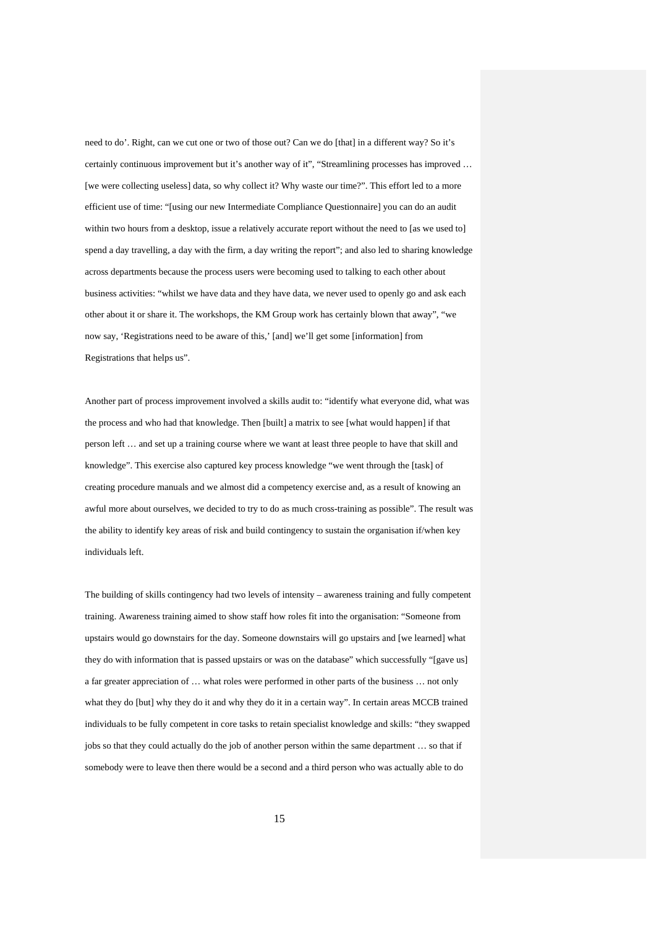need to do'. Right, can we cut one or two of those out? Can we do [that] in a different way? So it's certainly continuous improvement but it's another way of it", "Streamlining processes has improved … [we were collecting useless] data, so why collect it? Why waste our time?". This effort led to a more efficient use of time: "[using our new Intermediate Compliance Questionnaire] you can do an audit within two hours from a desktop, issue a relatively accurate report without the need to [as we used to] spend a day travelling, a day with the firm, a day writing the report"; and also led to sharing knowledge across departments because the process users were becoming used to talking to each other about business activities: "whilst we have data and they have data, we never used to openly go and ask each other about it or share it. The workshops, the KM Group work has certainly blown that away", "we now say, 'Registrations need to be aware of this,' [and] we'll get some [information] from Registrations that helps us".

Another part of process improvement involved a skills audit to: "identify what everyone did, what was the process and who had that knowledge. Then [built] a matrix to see [what would happen] if that person left … and set up a training course where we want at least three people to have that skill and knowledge". This exercise also captured key process knowledge "we went through the [task] of creating procedure manuals and we almost did a competency exercise and, as a result of knowing an awful more about ourselves, we decided to try to do as much cross-training as possible". The result was the ability to identify key areas of risk and build contingency to sustain the organisation if/when key individuals left.

The building of skills contingency had two levels of intensity – awareness training and fully competent training. Awareness training aimed to show staff how roles fit into the organisation: "Someone from upstairs would go downstairs for the day. Someone downstairs will go upstairs and [we learned] what they do with information that is passed upstairs or was on the database" which successfully "[gave us] a far greater appreciation of … what roles were performed in other parts of the business … not only what they do [but] why they do it and why they do it in a certain way". In certain areas MCCB trained individuals to be fully competent in core tasks to retain specialist knowledge and skills: "they swapped jobs so that they could actually do the job of another person within the same department … so that if somebody were to leave then there would be a second and a third person who was actually able to do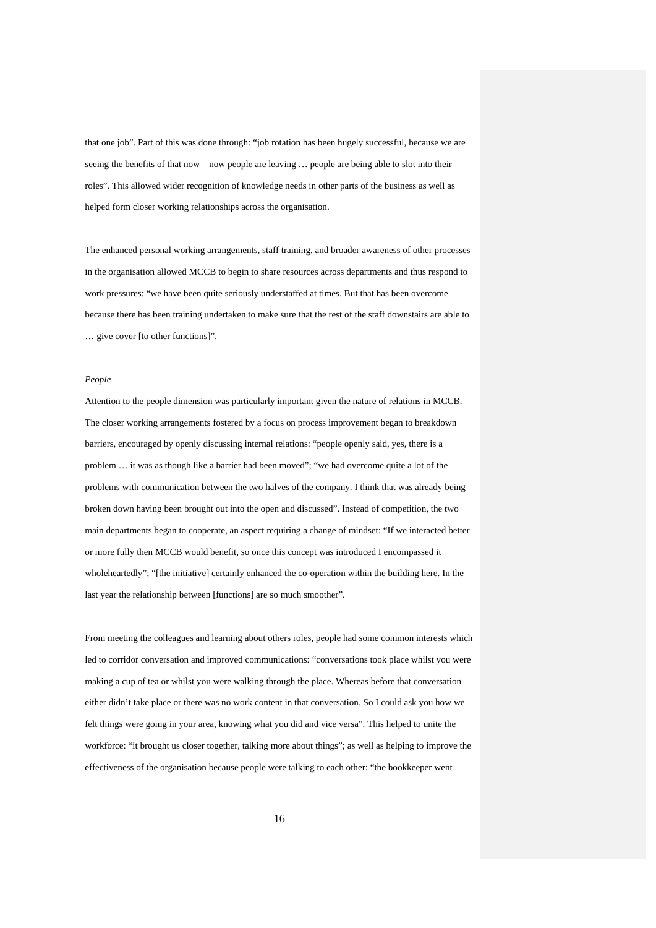that one job". Part of this was done through: "job rotation has been hugely successful, because we are seeing the benefits of that now – now people are leaving … people are being able to slot into their roles". This allowed wider recognition of knowledge needs in other parts of the business as well as helped form closer working relationships across the organisation.

The enhanced personal working arrangements, staff training, and broader awareness of other processes in the organisation allowed MCCB to begin to share resources across departments and thus respond to work pressures: "we have been quite seriously understaffed at times. But that has been overcome because there has been training undertaken to make sure that the rest of the staff downstairs are able to … give cover [to other functions]".

### *People*

Attention to the people dimension was particularly important given the nature of relations in MCCB. The closer working arrangements fostered by a focus on process improvement began to breakdown barriers, encouraged by openly discussing internal relations: "people openly said, yes, there is a problem … it was as though like a barrier had been moved"; "we had overcome quite a lot of the problems with communication between the two halves of the company. I think that was already being broken down having been brought out into the open and discussed". Instead of competition, the two main departments began to cooperate, an aspect requiring a change of mindset: "If we interacted better or more fully then MCCB would benefit, so once this concept was introduced I encompassed it wholeheartedly"; "[the initiative] certainly enhanced the co-operation within the building here. In the last year the relationship between [functions] are so much smoother".

From meeting the colleagues and learning about others roles, people had some common interests which led to corridor conversation and improved communications: "conversations took place whilst you were making a cup of tea or whilst you were walking through the place. Whereas before that conversation either didn't take place or there was no work content in that conversation. So I could ask you how we felt things were going in your area, knowing what you did and vice versa". This helped to unite the workforce: "it brought us closer together, talking more about things"; as well as helping to improve the effectiveness of the organisation because people were talking to each other: "the bookkeeper went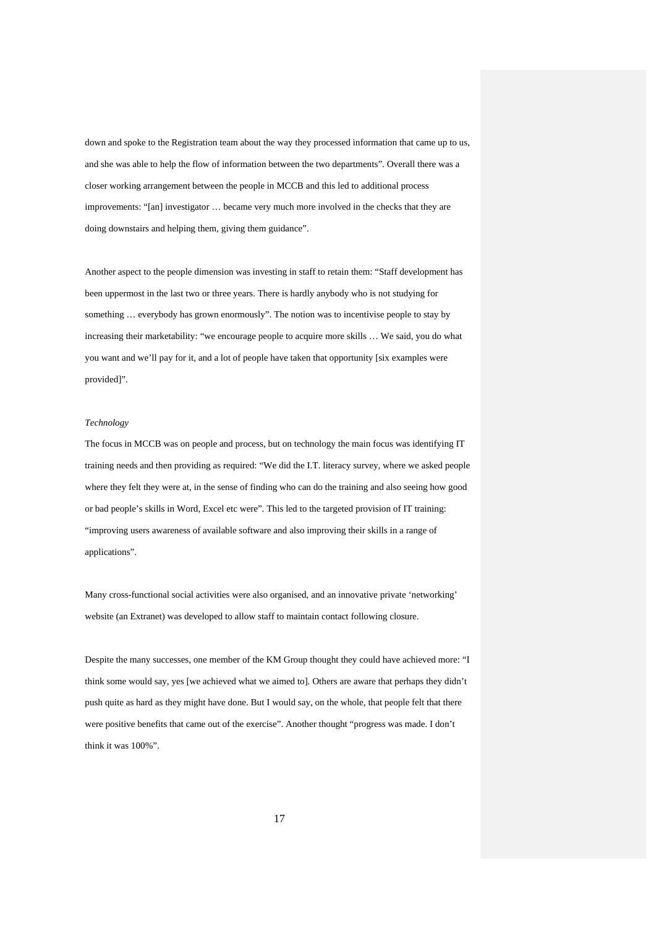down and spoke to the Registration team about the way they processed information that came up to us, and she was able to help the flow of information between the two departments". Overall there was a closer working arrangement between the people in MCCB and this led to additional process improvements: "[an] investigator … became very much more involved in the checks that they are doing downstairs and helping them, giving them guidance".

Another aspect to the people dimension was investing in staff to retain them: "Staff development has been uppermost in the last two or three years. There is hardly anybody who is not studying for something … everybody has grown enormously". The notion was to incentivise people to stay by increasing their marketability: "we encourage people to acquire more skills … We said, you do what you want and we'll pay for it, and a lot of people have taken that opportunity [six examples were provided]".

### *Technology*

The focus in MCCB was on people and process, but on technology the main focus was identifying IT training needs and then providing as required: "We did the I.T. literacy survey, where we asked people where they felt they were at, in the sense of finding who can do the training and also seeing how good or bad people's skills in Word, Excel etc were". This led to the targeted provision of IT training: "improving users awareness of available software and also improving their skills in a range of applications".

Many cross-functional social activities were also organised, and an innovative private 'networking' website (an Extranet) was developed to allow staff to maintain contact following closure.

Despite the many successes, one member of the KM Group thought they could have achieved more: "I think some would say, yes [we achieved what we aimed to]. Others are aware that perhaps they didn't push quite as hard as they might have done. But I would say, on the whole, that people felt that there were positive benefits that came out of the exercise". Another thought "progress was made. I don't think it was 100%".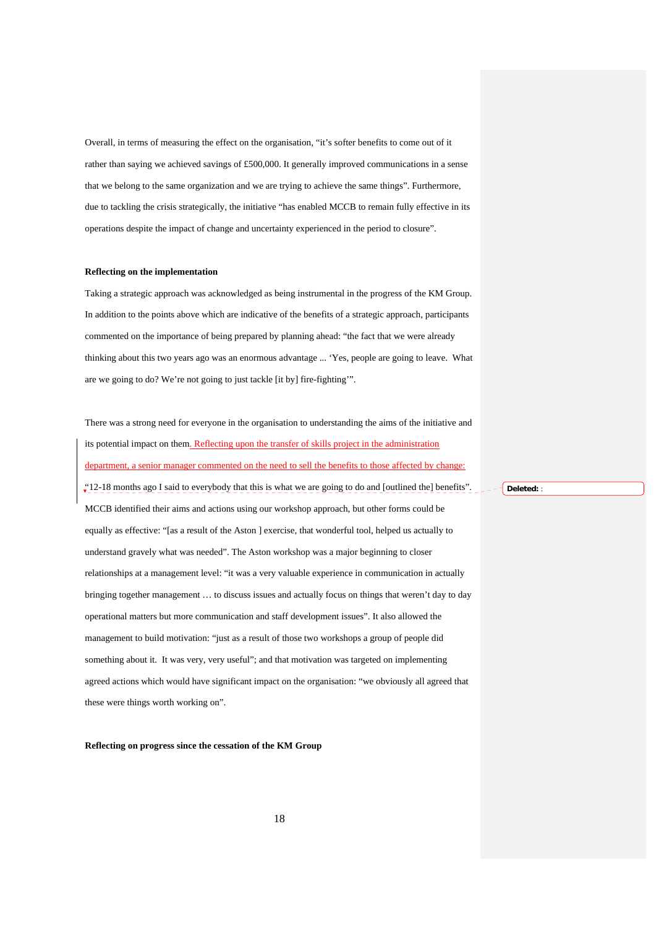Overall, in terms of measuring the effect on the organisation, "it's softer benefits to come out of it rather than saying we achieved savings of £500,000. It generally improved communications in a sense that we belong to the same organization and we are trying to achieve the same things". Furthermore, due to tackling the crisis strategically, the initiative "has enabled MCCB to remain fully effective in its operations despite the impact of change and uncertainty experienced in the period to closure".

### **Reflecting on the implementation**

Taking a strategic approach was acknowledged as being instrumental in the progress of the KM Group. In addition to the points above which are indicative of the benefits of a strategic approach, participants commented on the importance of being prepared by planning ahead: "the fact that we were already thinking about this two years ago was an enormous advantage ... 'Yes, people are going to leave. What are we going to do? We're not going to just tackle [it by] fire-fighting'".

There was a strong need for everyone in the organisation to understanding the aims of the initiative and its potential impact on them. Reflecting upon the transfer of skills project in the administration department, a senior manager commented on the need to sell the benefits to those affected by change: "12-18 months ago I said to everybody that this is what we are going to do and [outlined the] benefits". MCCB identified their aims and actions using our workshop approach, but other forms could be equally as effective: "[as a result of the Aston ] exercise, that wonderful tool, helped us actually to understand gravely what was needed". The Aston workshop was a major beginning to closer relationships at a management level: "it was a very valuable experience in communication in actually bringing together management … to discuss issues and actually focus on things that weren't day to day operational matters but more communication and staff development issues". It also allowed the management to build motivation: "just as a result of those two workshops a group of people did something about it. It was very, very useful"; and that motivation was targeted on implementing agreed actions which would have significant impact on the organisation: "we obviously all agreed that these were things worth working on".

**Reflecting on progress since the cessation of the KM Group** 

**Deleted:** :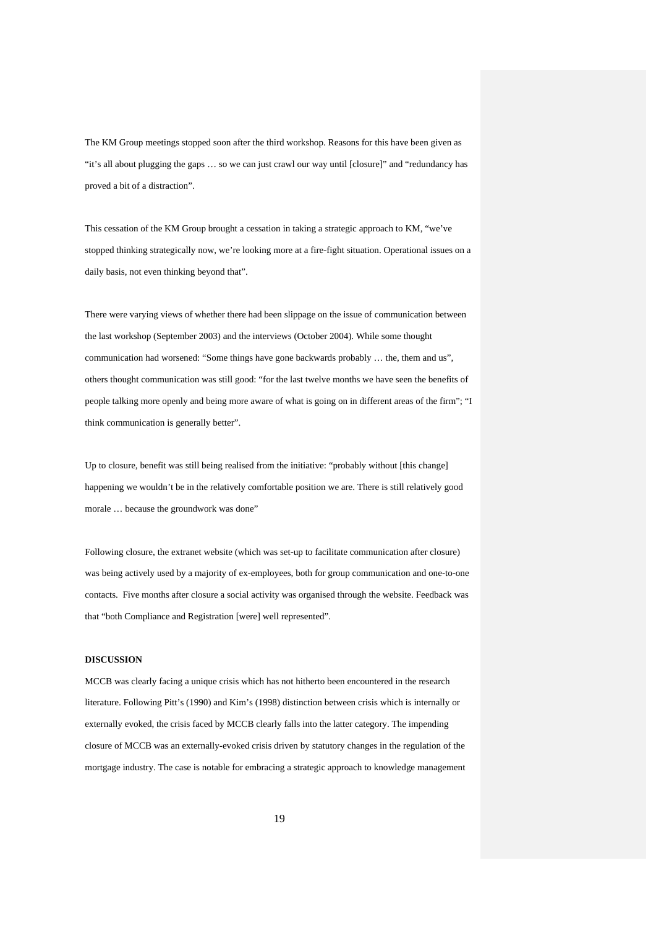The KM Group meetings stopped soon after the third workshop. Reasons for this have been given as "it's all about plugging the gaps … so we can just crawl our way until [closure]" and "redundancy has proved a bit of a distraction".

This cessation of the KM Group brought a cessation in taking a strategic approach to KM, "we've stopped thinking strategically now, we're looking more at a fire-fight situation. Operational issues on a daily basis, not even thinking beyond that".

There were varying views of whether there had been slippage on the issue of communication between the last workshop (September 2003) and the interviews (October 2004). While some thought communication had worsened: "Some things have gone backwards probably … the, them and us", others thought communication was still good: "for the last twelve months we have seen the benefits of people talking more openly and being more aware of what is going on in different areas of the firm"; "I think communication is generally better".

Up to closure, benefit was still being realised from the initiative: "probably without [this change] happening we wouldn't be in the relatively comfortable position we are. There is still relatively good morale … because the groundwork was done"

Following closure, the extranet website (which was set-up to facilitate communication after closure) was being actively used by a majority of ex-employees, both for group communication and one-to-one contacts. Five months after closure a social activity was organised through the website. Feedback was that "both Compliance and Registration [were] well represented".

# **DISCUSSION**

MCCB was clearly facing a unique crisis which has not hitherto been encountered in the research literature. Following Pitt's (1990) and Kim's (1998) distinction between crisis which is internally or externally evoked, the crisis faced by MCCB clearly falls into the latter category. The impending closure of MCCB was an externally-evoked crisis driven by statutory changes in the regulation of the mortgage industry. The case is notable for embracing a strategic approach to knowledge management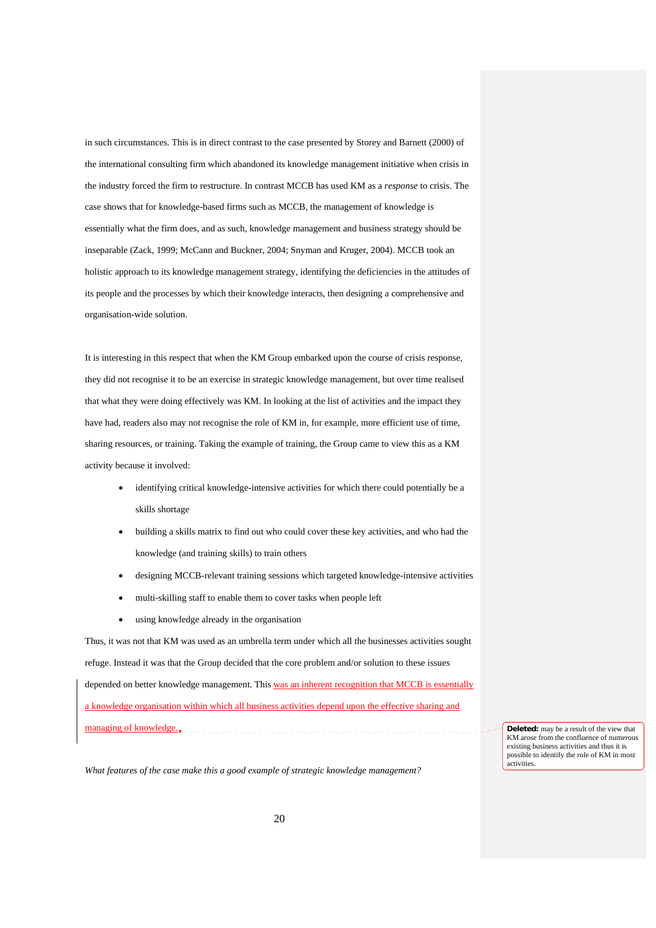in such circumstances. This is in direct contrast to the case presented by Storey and Barnett (2000) of the international consulting firm which abandoned its knowledge management initiative when crisis in the industry forced the firm to restructure. In contrast MCCB has used KM as a *response* to crisis. The case shows that for knowledge-based firms such as MCCB, the management of knowledge is essentially what the firm does, and as such, knowledge management and business strategy should be inseparable (Zack, 1999; McCann and Buckner, 2004; Snyman and Kruger, 2004). MCCB took an holistic approach to its knowledge management strategy, identifying the deficiencies in the attitudes of its people and the processes by which their knowledge interacts, then designing a comprehensive and organisation-wide solution.

It is interesting in this respect that when the KM Group embarked upon the course of crisis response, they did not recognise it to be an exercise in strategic knowledge management, but over time realised that what they were doing effectively was KM. In looking at the list of activities and the impact they have had, readers also may not recognise the role of KM in, for example, more efficient use of time, sharing resources, or training. Taking the example of training, the Group came to view this as a KM activity because it involved:

- identifying critical knowledge-intensive activities for which there could potentially be a skills shortage
- building a skills matrix to find out who could cover these key activities, and who had the knowledge (and training skills) to train others
- designing MCCB-relevant training sessions which targeted knowledge-intensive activities
- multi-skilling staff to enable them to cover tasks when people left
- using knowledge already in the organisation

Thus, it was not that KM was used as an umbrella term under which all the businesses activities sought refuge. Instead it was that the Group decided that the core problem and/or solution to these issues depended on better knowledge management. This was an inherent recognition that MCCB is essentially a knowledge organisation within which all business activities depend upon the effective sharing and managing of knowledge.

*What features of the case make this a good example of strategic knowledge management?* 

**Deleted:** may be a result of the view that KM arose from the confluence of numerous existing business activities and thus it is possible to identify the role of KM in most **activities**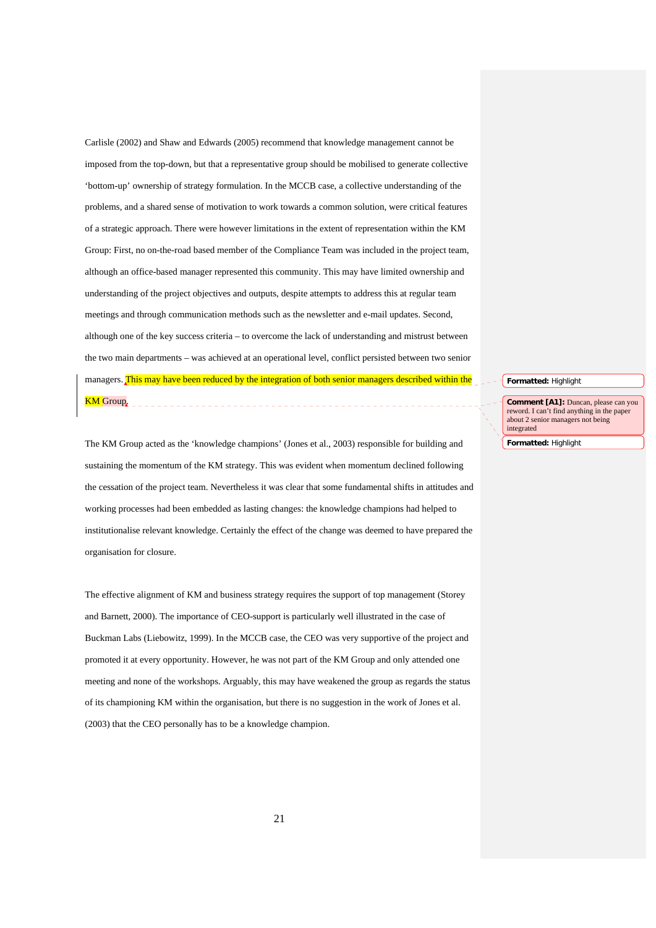Carlisle (2002) and Shaw and Edwards (2005) recommend that knowledge management cannot be imposed from the top-down, but that a representative group should be mobilised to generate collective 'bottom-up' ownership of strategy formulation. In the MCCB case, a collective understanding of the problems, and a shared sense of motivation to work towards a common solution, were critical features of a strategic approach. There were however limitations in the extent of representation within the KM Group: First, no on-the-road based member of the Compliance Team was included in the project team, although an office-based manager represented this community. This may have limited ownership and understanding of the project objectives and outputs, despite attempts to address this at regular team meetings and through communication methods such as the newsletter and e-mail updates. Second, although one of the key success criteria – to overcome the lack of understanding and mistrust between the two main departments – was achieved at an operational level, conflict persisted between two senior managers. This may have been reduced by the integration of both senior managers described within the KM Group.

The KM Group acted as the 'knowledge champions' (Jones et al., 2003) responsible for building and sustaining the momentum of the KM strategy. This was evident when momentum declined following the cessation of the project team. Nevertheless it was clear that some fundamental shifts in attitudes and working processes had been embedded as lasting changes: the knowledge champions had helped to institutionalise relevant knowledge. Certainly the effect of the change was deemed to have prepared the organisation for closure.

The effective alignment of KM and business strategy requires the support of top management (Storey and Barnett, 2000). The importance of CEO-support is particularly well illustrated in the case of Buckman Labs (Liebowitz, 1999). In the MCCB case, the CEO was very supportive of the project and promoted it at every opportunity. However, he was not part of the KM Group and only attended one meeting and none of the workshops. Arguably, this may have weakened the group as regards the status of its championing KM within the organisation, but there is no suggestion in the work of Jones et al. (2003) that the CEO personally has to be a knowledge champion.

**Formatted:** Highlight

**Comment [A1]:** Duncan, please can you reword. I can't find anything in the paper about 2 senior managers not being integrated

**Formatted:** Highlight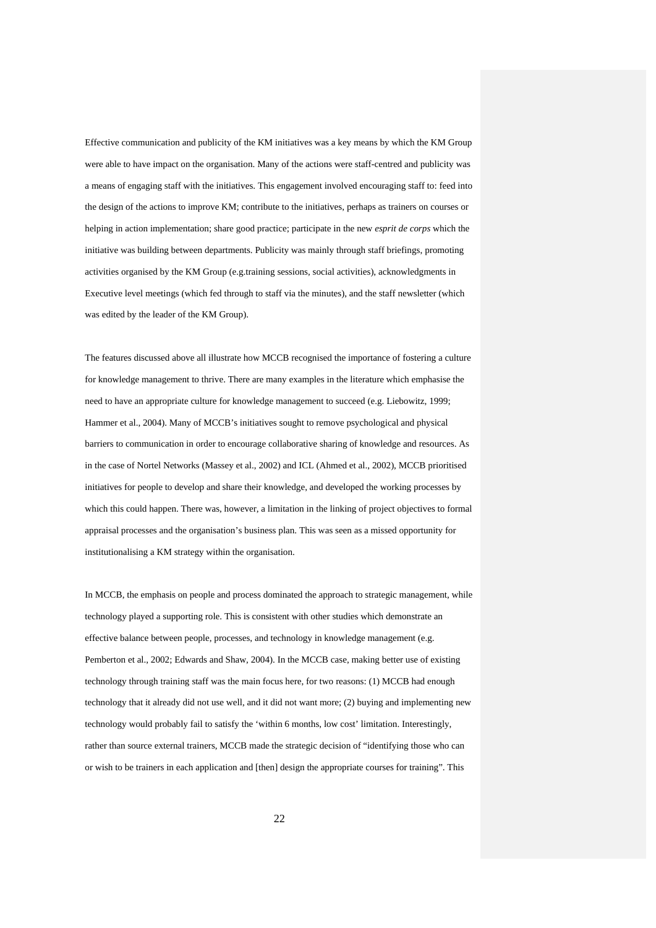Effective communication and publicity of the KM initiatives was a key means by which the KM Group were able to have impact on the organisation. Many of the actions were staff-centred and publicity was a means of engaging staff with the initiatives. This engagement involved encouraging staff to: feed into the design of the actions to improve KM; contribute to the initiatives, perhaps as trainers on courses or helping in action implementation; share good practice; participate in the new *esprit de corps* which the initiative was building between departments. Publicity was mainly through staff briefings, promoting activities organised by the KM Group (e.g.training sessions, social activities), acknowledgments in Executive level meetings (which fed through to staff via the minutes), and the staff newsletter (which was edited by the leader of the KM Group).

The features discussed above all illustrate how MCCB recognised the importance of fostering a culture for knowledge management to thrive. There are many examples in the literature which emphasise the need to have an appropriate culture for knowledge management to succeed (e.g. Liebowitz, 1999; Hammer et al., 2004). Many of MCCB's initiatives sought to remove psychological and physical barriers to communication in order to encourage collaborative sharing of knowledge and resources. As in the case of Nortel Networks (Massey et al., 2002) and ICL (Ahmed et al., 2002), MCCB prioritised initiatives for people to develop and share their knowledge, and developed the working processes by which this could happen. There was, however, a limitation in the linking of project objectives to formal appraisal processes and the organisation's business plan. This was seen as a missed opportunity for institutionalising a KM strategy within the organisation.

In MCCB, the emphasis on people and process dominated the approach to strategic management, while technology played a supporting role. This is consistent with other studies which demonstrate an effective balance between people, processes, and technology in knowledge management (e.g. Pemberton et al., 2002; Edwards and Shaw, 2004). In the MCCB case, making better use of existing technology through training staff was the main focus here, for two reasons: (1) MCCB had enough technology that it already did not use well, and it did not want more; (2) buying and implementing new technology would probably fail to satisfy the 'within 6 months, low cost' limitation. Interestingly, rather than source external trainers, MCCB made the strategic decision of "identifying those who can or wish to be trainers in each application and [then] design the appropriate courses for training". This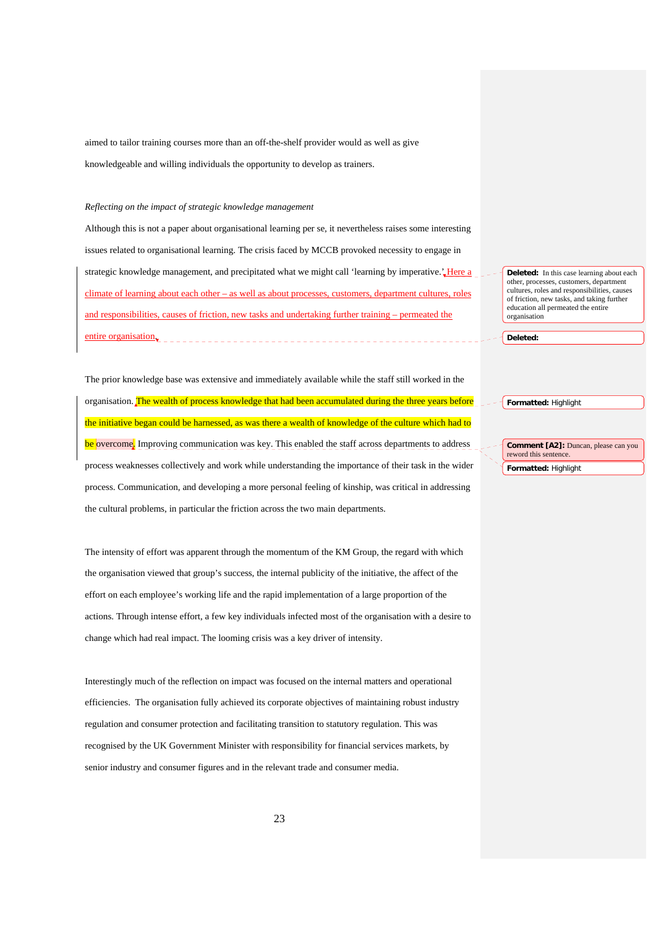aimed to tailor training courses more than an off-the-shelf provider would as well as give knowledgeable and willing individuals the opportunity to develop as trainers.

#### *Reflecting on the impact of strategic knowledge management*

Although this is not a paper about organisational learning per se, it nevertheless raises some interesting issues related to organisational learning. The crisis faced by MCCB provoked necessity to engage in strategic knowledge management, and precipitated what we might call 'learning by imperative.'. Here a climate of learning about each other – as well as about processes, customers, department cultures, roles and responsibilities, causes of friction, new tasks and undertaking further training – permeated the entire organisation.

The prior knowledge base was extensive and immediately available while the staff still worked in the organisation. The wealth of process knowledge that had been accumulated during the three years before the initiative began could be harnessed, as was there a wealth of knowledge of the culture which had to be overcome. Improving communication was key. This enabled the staff across departments to address process weaknesses collectively and work while understanding the importance of their task in the wider process. Communication, and developing a more personal feeling of kinship, was critical in addressing the cultural problems, in particular the friction across the two main departments.

The intensity of effort was apparent through the momentum of the KM Group, the regard with which the organisation viewed that group's success, the internal publicity of the initiative, the affect of the effort on each employee's working life and the rapid implementation of a large proportion of the actions. Through intense effort, a few key individuals infected most of the organisation with a desire to change which had real impact. The looming crisis was a key driver of intensity.

Interestingly much of the reflection on impact was focused on the internal matters and operational efficiencies. The organisation fully achieved its corporate objectives of maintaining robust industry regulation and consumer protection and facilitating transition to statutory regulation. This was recognised by the UK Government Minister with responsibility for financial services markets, by senior industry and consumer figures and in the relevant trade and consumer media.

**Deleted:** In this case learning about each other, processes, customers, department cultures, roles and responsibilities, causes of friction, new tasks, and taking further education all permeated the entire organisation

**Deleted:** 

**Formatted:** Highlight

**Comment [A2]:** Duncan, please can you reword this sentence. **Formatted:** Highlight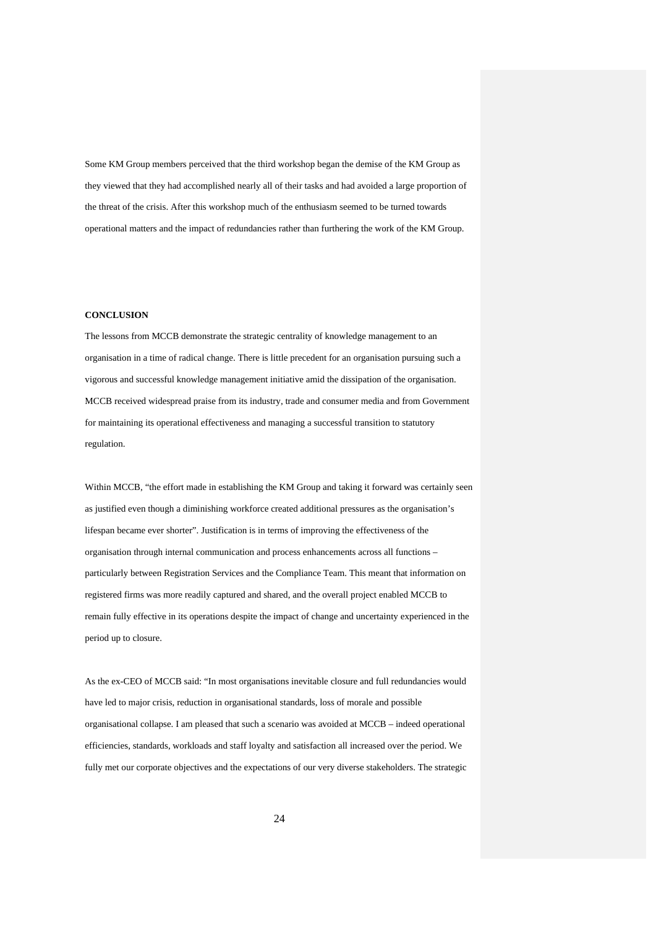Some KM Group members perceived that the third workshop began the demise of the KM Group as they viewed that they had accomplished nearly all of their tasks and had avoided a large proportion of the threat of the crisis. After this workshop much of the enthusiasm seemed to be turned towards operational matters and the impact of redundancies rather than furthering the work of the KM Group.

### **CONCLUSION**

The lessons from MCCB demonstrate the strategic centrality of knowledge management to an organisation in a time of radical change. There is little precedent for an organisation pursuing such a vigorous and successful knowledge management initiative amid the dissipation of the organisation. MCCB received widespread praise from its industry, trade and consumer media and from Government for maintaining its operational effectiveness and managing a successful transition to statutory regulation.

Within MCCB, "the effort made in establishing the KM Group and taking it forward was certainly seen as justified even though a diminishing workforce created additional pressures as the organisation's lifespan became ever shorter". Justification is in terms of improving the effectiveness of the organisation through internal communication and process enhancements across all functions – particularly between Registration Services and the Compliance Team. This meant that information on registered firms was more readily captured and shared, and the overall project enabled MCCB to remain fully effective in its operations despite the impact of change and uncertainty experienced in the period up to closure.

As the ex-CEO of MCCB said: "In most organisations inevitable closure and full redundancies would have led to major crisis, reduction in organisational standards, loss of morale and possible organisational collapse. I am pleased that such a scenario was avoided at MCCB – indeed operational efficiencies, standards, workloads and staff loyalty and satisfaction all increased over the period. We fully met our corporate objectives and the expectations of our very diverse stakeholders. The strategic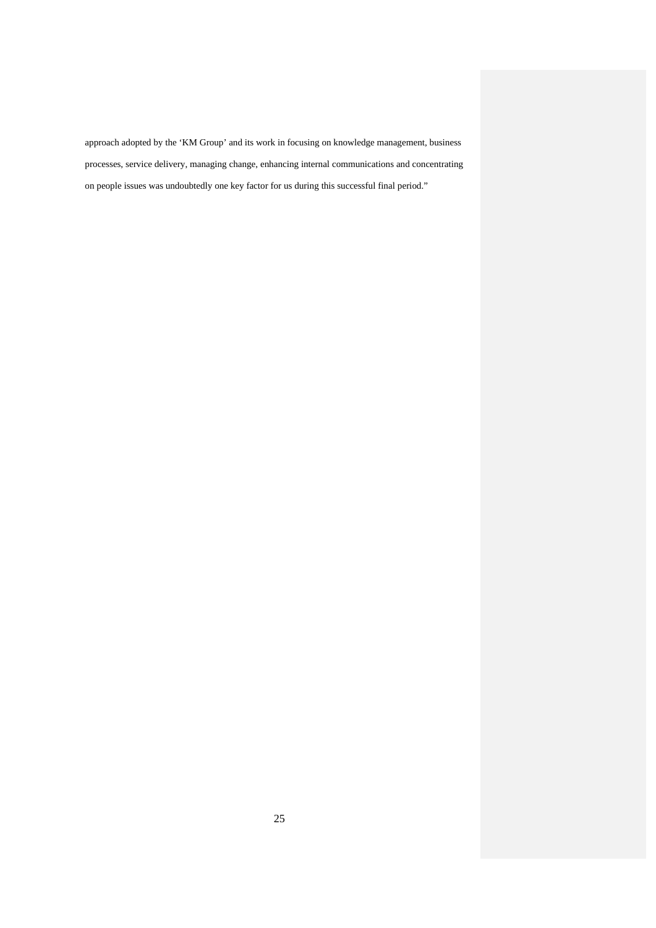approach adopted by the 'KM Group' and its work in focusing on knowledge management, business processes, service delivery, managing change, enhancing internal communications and concentrating on people issues was undoubtedly one key factor for us during this successful final period."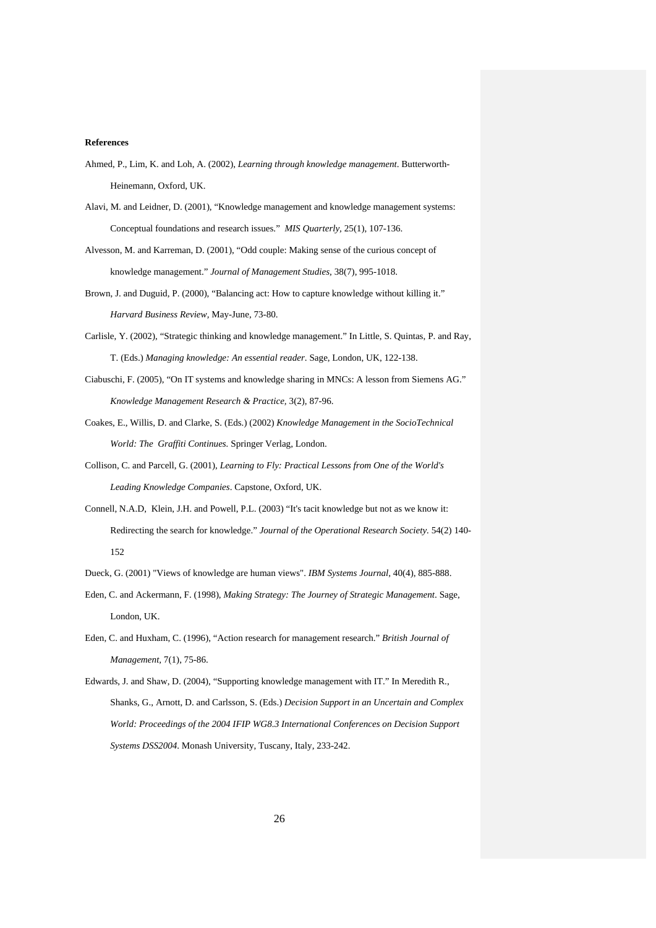### **References**

- Ahmed, P., Lim, K. and Loh, A. (2002), *Learning through knowledge management*. Butterworth-Heinemann, Oxford, UK.
- Alavi, M. and Leidner, D. (2001), "Knowledge management and knowledge management systems: Conceptual foundations and research issues." *MIS Quarterly,* 25(1), 107-136.
- Alvesson, M. and Karreman, D. (2001), "Odd couple: Making sense of the curious concept of knowledge management." *Journal of Management Studies,* 38(7), 995-1018.
- Brown, J. and Duguid, P. (2000), "Balancing act: How to capture knowledge without killing it." *Harvard Business Review,* May-June, 73-80.
- Carlisle, Y. (2002), "Strategic thinking and knowledge management." In Little, S. Quintas, P. and Ray, T. (Eds.) *Managing knowledge: An essential reader*. Sage, London, UK, 122-138.
- Ciabuschi, F. (2005), "On IT systems and knowledge sharing in MNCs: A lesson from Siemens AG." *Knowledge Management Research & Practice,* 3(2), 87-96.
- Coakes, E., Willis, D. and Clarke, S. (Eds.) (2002) *Knowledge Management in the SocioTechnical World: The Graffiti Continues.* Springer Verlag, London.
- Collison, C. and Parcell, G. (2001), *Learning to Fly: Practical Lessons from One of the World's Leading Knowledge Companies*. Capstone, Oxford, UK.
- Connell, N.A.D, Klein, J.H. and Powell, P.L. (2003) "It's tacit knowledge but not as we know it: Redirecting the search for knowledge." *Journal of the Operational Research Society.* 54(2) 140- 152

Dueck, G. (2001) "Views of knowledge are human views". *IBM Systems Journal,* 40(4), 885-888.

- Eden, C. and Ackermann, F. (1998), *Making Strategy: The Journey of Strategic Management*. Sage, London, UK.
- Eden, C. and Huxham, C. (1996), "Action research for management research." *British Journal of Management,* 7(1), 75-86.
- Edwards, J. and Shaw, D. (2004), "Supporting knowledge management with IT." In Meredith R., Shanks, G., Arnott, D. and Carlsson, S. (Eds.) *Decision Support in an Uncertain and Complex World: Proceedings of the 2004 IFIP WG8.3 International Conferences on Decision Support Systems DSS2004*. Monash University, Tuscany, Italy, 233-242.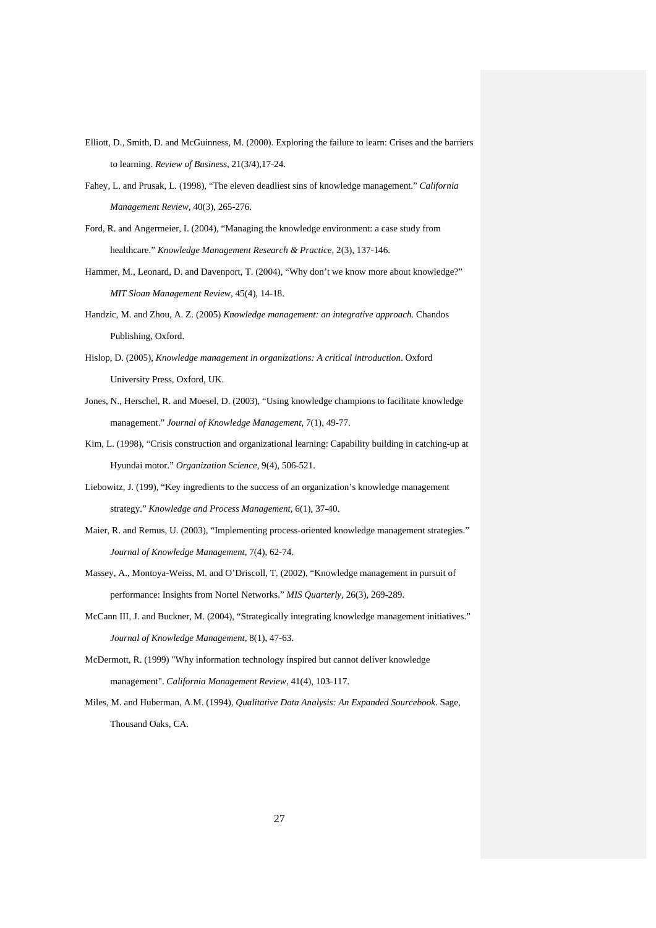- Elliott, D., Smith, D. and McGuinness, M. (2000). Exploring the failure to learn: Crises and the barriers to learning. *Review of Business*, 21(3/4),17-24.
- Fahey, L. and Prusak, L. (1998), "The eleven deadliest sins of knowledge management." *California Management Review,* 40(3), 265-276.
- Ford, R. and Angermeier, I. (2004), "Managing the knowledge environment: a case study from healthcare." *Knowledge Management Research & Practice,* 2(3), 137-146.
- Hammer, M., Leonard, D. and Davenport, T. (2004), "Why don't we know more about knowledge?" *MIT Sloan Management Review,* 45(4), 14-18.
- Handzic, M. and Zhou, A. Z. (2005) *Knowledge management: an integrative approach.* Chandos Publishing, Oxford.
- Hislop, D. (2005), *Knowledge management in organizations: A critical introduction*. Oxford University Press, Oxford, UK.
- Jones, N., Herschel, R. and Moesel, D. (2003), "Using knowledge champions to facilitate knowledge management." *Journal of Knowledge Management,* 7(1), 49-77.
- Kim, L. (1998), "Crisis construction and organizational learning: Capability building in catching-up at Hyundai motor." *Organization Science,* 9(4), 506-521.
- Liebowitz, J. (199), "Key ingredients to the success of an organization's knowledge management strategy." *Knowledge and Process Management,* 6(1), 37-40.
- Maier, R. and Remus, U. (2003), "Implementing process-oriented knowledge management strategies." *Journal of Knowledge Management,* 7(4), 62-74.
- Massey, A., Montoya-Weiss, M. and O'Driscoll, T. (2002), "Knowledge management in pursuit of performance: Insights from Nortel Networks." *MIS Quarterly,* 26(3), 269-289.
- McCann III, J. and Buckner, M. (2004), "Strategically integrating knowledge management initiatives." *Journal of Knowledge Management,* 8(1), 47-63.
- McDermott, R. (1999) "Why information technology inspired but cannot deliver knowledge management". *California Management Review,* 41(4), 103-117.
- Miles, M. and Huberman, A.M. (1994), *Qualitative Data Analysis: An Expanded Sourcebook*. Sage, Thousand Oaks, CA.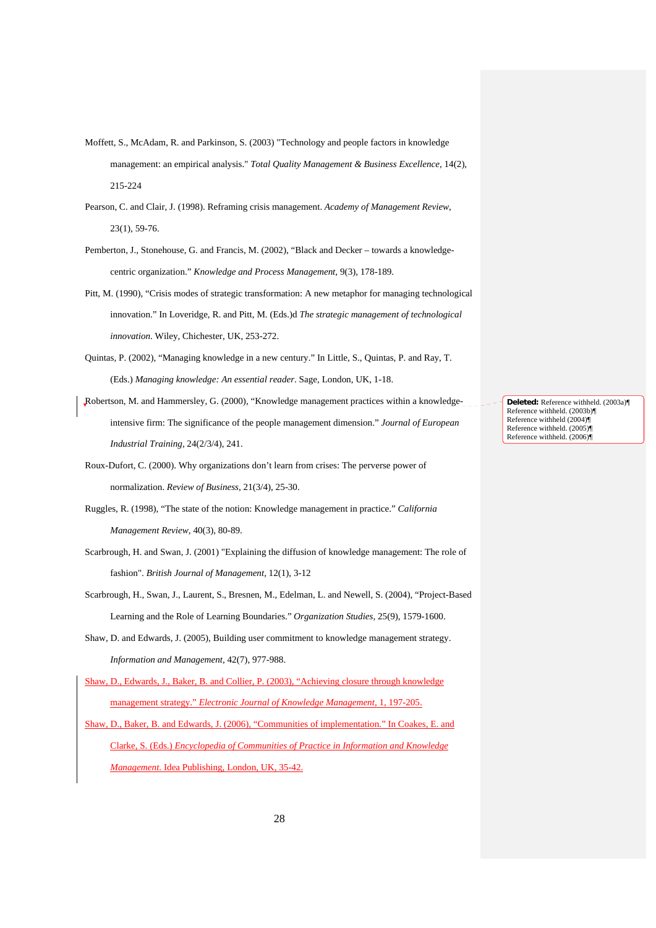- Moffett, S., McAdam, R. and Parkinson, S. (2003) "Technology and people factors in knowledge management: an empirical analysis." *Total Quality Management & Business Excellence,* 14(2), 215-224
- Pearson, C. and Clair, J. (1998). Reframing crisis management. *Academy of Management Review*, 23(1), 59-76.
- Pemberton, J., Stonehouse, G. and Francis, M. (2002), "Black and Decker towards a knowledgecentric organization." *Knowledge and Process Management,* 9(3), 178-189.
- Pitt, M. (1990), "Crisis modes of strategic transformation: A new metaphor for managing technological innovation." In Loveridge, R. and Pitt, M. (Eds.)d *The strategic management of technological innovation*. Wiley, Chichester, UK, 253-272.
- Quintas, P. (2002), "Managing knowledge in a new century." In Little, S., Quintas, P. and Ray, T. (Eds.) *Managing knowledge: An essential reader*. Sage, London, UK, 1-18.
- Robertson, M. and Hammersley, G. (2000), "Knowledge management practices within a knowledgeintensive firm: The significance of the people management dimension." *Journal of European Industrial Training,* 24(2/3/4), 241.
- Roux-Dufort, C. (2000). Why organizations don't learn from crises: The perverse power of normalization. *Review of Business*, 21(3/4), 25-30.
- Ruggles, R. (1998), "The state of the notion: Knowledge management in practice." *California Management Review,* 40(3), 80-89.
- Scarbrough, H. and Swan, J. (2001) "Explaining the diffusion of knowledge management: The role of fashion". *British Journal of Management,* 12(1), 3-12
- Scarbrough, H., Swan, J., Laurent, S., Bresnen, M., Edelman, L. and Newell, S. (2004), "Project-Based Learning and the Role of Learning Boundaries." *Organization Studies,* 25(9), 1579-1600.
- Shaw, D. and Edwards, J. (2005), Building user commitment to knowledge management strategy. *Information and Management,* 42(7), 977-988.
- Shaw, D., Edwards, J., Baker, B. and Collier, P. (2003), "Achieving closure through knowledge management strategy." *Electronic Journal of Knowledge Management,* 1, 197-205.
- Shaw, D., Baker, B. and Edwards, J. (2006), "Communities of implementation." In Coakes, E. and Clarke, S. (Eds.) *Encyclopedia of Communities of Practice in Information and Knowledge Management*. Idea Publishing, London, UK, 35-42.

**Deleted:** Reference withheld. (2003a)¶ Reference withheld. (2003b)¶ Reference withheld (2004)¶ Reference withheld. (2005)¶<br>Reference withheld. (2006)¶